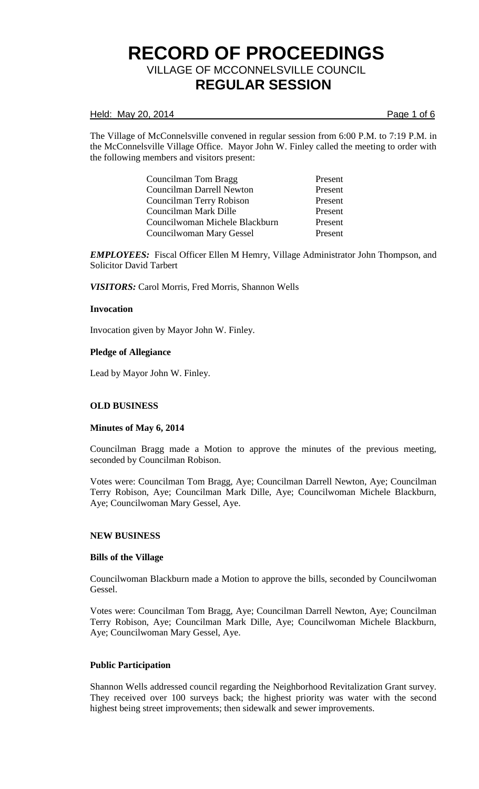### Held: May 20, 2014 **Page 1 of 6**

The Village of McConnelsville convened in regular session from 6:00 P.M. to 7:19 P.M. in the McConnelsville Village Office. Mayor John W. Finley called the meeting to order with the following members and visitors present:

> Councilman Tom Bragg Present Councilman Darrell Newton Present Councilman Terry Robison Present Councilman Mark Dille Present Councilwoman Michele Blackburn Present Councilwoman Mary Gessel Present

*EMPLOYEES:* Fiscal Officer Ellen M Hemry, Village Administrator John Thompson, and Solicitor David Tarbert

*VISITORS:* Carol Morris, Fred Morris, Shannon Wells

## **Invocation**

Invocation given by Mayor John W. Finley.

## **Pledge of Allegiance**

Lead by Mayor John W. Finley.

# **OLD BUSINESS**

#### **Minutes of May 6, 2014**

Councilman Bragg made a Motion to approve the minutes of the previous meeting, seconded by Councilman Robison.

Votes were: Councilman Tom Bragg, Aye; Councilman Darrell Newton, Aye; Councilman Terry Robison, Aye; Councilman Mark Dille, Aye; Councilwoman Michele Blackburn, Aye; Councilwoman Mary Gessel, Aye.

#### **NEW BUSINESS**

#### **Bills of the Village**

Councilwoman Blackburn made a Motion to approve the bills, seconded by Councilwoman Gessel.

Votes were: Councilman Tom Bragg, Aye; Councilman Darrell Newton, Aye; Councilman Terry Robison, Aye; Councilman Mark Dille, Aye; Councilwoman Michele Blackburn, Aye; Councilwoman Mary Gessel, Aye.

### **Public Participation**

Shannon Wells addressed council regarding the Neighborhood Revitalization Grant survey. They received over 100 surveys back; the highest priority was water with the second highest being street improvements; then sidewalk and sewer improvements.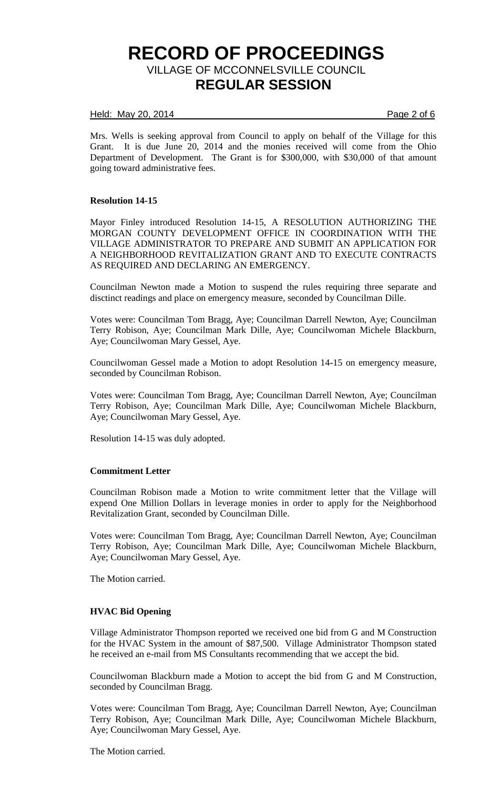### Held: May 20, 2014 **Page 2 of 6**

Mrs. Wells is seeking approval from Council to apply on behalf of the Village for this Grant. It is due June 20, 2014 and the monies received will come from the Ohio Department of Development. The Grant is for \$300,000, with \$30,000 of that amount going toward administrative fees.

## **Resolution 14-15**

Mayor Finley introduced Resolution 14-15, A RESOLUTION AUTHORIZING THE MORGAN COUNTY DEVELOPMENT OFFICE IN COORDINATION WITH THE VILLAGE ADMINISTRATOR TO PREPARE AND SUBMIT AN APPLICATION FOR A NEIGHBORHOOD REVITALIZATION GRANT AND TO EXECUTE CONTRACTS AS REQUIRED AND DECLARING AN EMERGENCY.

Councilman Newton made a Motion to suspend the rules requiring three separate and disctinct readings and place on emergency measure, seconded by Councilman Dille.

Votes were: Councilman Tom Bragg, Aye; Councilman Darrell Newton, Aye; Councilman Terry Robison, Aye; Councilman Mark Dille, Aye; Councilwoman Michele Blackburn, Aye; Councilwoman Mary Gessel, Aye.

Councilwoman Gessel made a Motion to adopt Resolution 14-15 on emergency measure, seconded by Councilman Robison.

Votes were: Councilman Tom Bragg, Aye; Councilman Darrell Newton, Aye; Councilman Terry Robison, Aye; Councilman Mark Dille, Aye; Councilwoman Michele Blackburn, Aye; Councilwoman Mary Gessel, Aye.

Resolution 14-15 was duly adopted.

#### **Commitment Letter**

Councilman Robison made a Motion to write commitment letter that the Village will expend One Million Dollars in leverage monies in order to apply for the Neighborhood Revitalization Grant, seconded by Councilman Dille.

Votes were: Councilman Tom Bragg, Aye; Councilman Darrell Newton, Aye; Councilman Terry Robison, Aye; Councilman Mark Dille, Aye; Councilwoman Michele Blackburn, Aye; Councilwoman Mary Gessel, Aye.

The Motion carried.

# **HVAC Bid Opening**

Village Administrator Thompson reported we received one bid from G and M Construction for the HVAC System in the amount of \$87,500. Village Administrator Thompson stated he received an e-mail from MS Consultants recommending that we accept the bid.

Councilwoman Blackburn made a Motion to accept the bid from G and M Construction, seconded by Councilman Bragg.

Votes were: Councilman Tom Bragg, Aye; Councilman Darrell Newton, Aye; Councilman Terry Robison, Aye; Councilman Mark Dille, Aye; Councilwoman Michele Blackburn, Aye; Councilwoman Mary Gessel, Aye.

The Motion carried.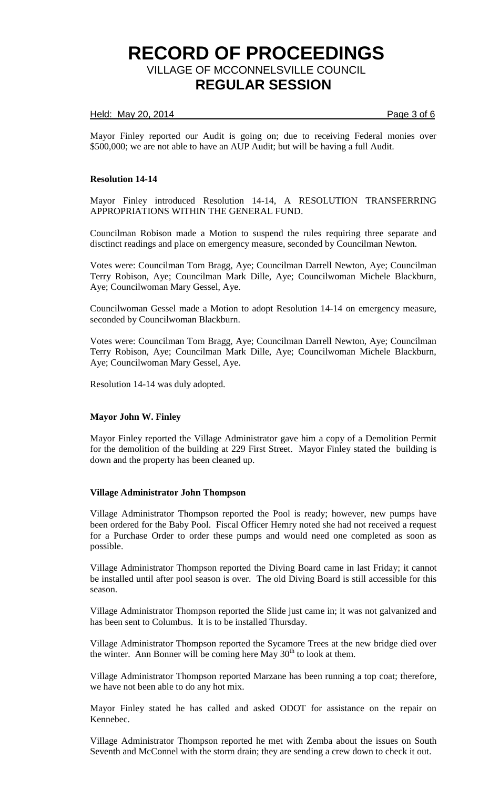## Held: May 20, 2014 **Page 3 of 6**

Mayor Finley reported our Audit is going on; due to receiving Federal monies over \$500,000; we are not able to have an AUP Audit; but will be having a full Audit.

## **Resolution 14-14**

Mayor Finley introduced Resolution 14-14, A RESOLUTION TRANSFERRING APPROPRIATIONS WITHIN THE GENERAL FUND.

Councilman Robison made a Motion to suspend the rules requiring three separate and disctinct readings and place on emergency measure, seconded by Councilman Newton.

Votes were: Councilman Tom Bragg, Aye; Councilman Darrell Newton, Aye; Councilman Terry Robison, Aye; Councilman Mark Dille, Aye; Councilwoman Michele Blackburn, Aye; Councilwoman Mary Gessel, Aye.

Councilwoman Gessel made a Motion to adopt Resolution 14-14 on emergency measure, seconded by Councilwoman Blackburn.

Votes were: Councilman Tom Bragg, Aye; Councilman Darrell Newton, Aye; Councilman Terry Robison, Aye; Councilman Mark Dille, Aye; Councilwoman Michele Blackburn, Aye; Councilwoman Mary Gessel, Aye.

Resolution 14-14 was duly adopted.

#### **Mayor John W. Finley**

Mayor Finley reported the Village Administrator gave him a copy of a Demolition Permit for the demolition of the building at 229 First Street. Mayor Finley stated the building is down and the property has been cleaned up.

#### **Village Administrator John Thompson**

Village Administrator Thompson reported the Pool is ready; however, new pumps have been ordered for the Baby Pool. Fiscal Officer Hemry noted she had not received a request for a Purchase Order to order these pumps and would need one completed as soon as possible.

Village Administrator Thompson reported the Diving Board came in last Friday; it cannot be installed until after pool season is over. The old Diving Board is still accessible for this season.

Village Administrator Thompson reported the Slide just came in; it was not galvanized and has been sent to Columbus. It is to be installed Thursday.

Village Administrator Thompson reported the Sycamore Trees at the new bridge died over the winter. Ann Bonner will be coming here May  $30<sup>th</sup>$  to look at them.

Village Administrator Thompson reported Marzane has been running a top coat; therefore, we have not been able to do any hot mix.

Mayor Finley stated he has called and asked ODOT for assistance on the repair on Kennebec.

Village Administrator Thompson reported he met with Zemba about the issues on South Seventh and McConnel with the storm drain; they are sending a crew down to check it out.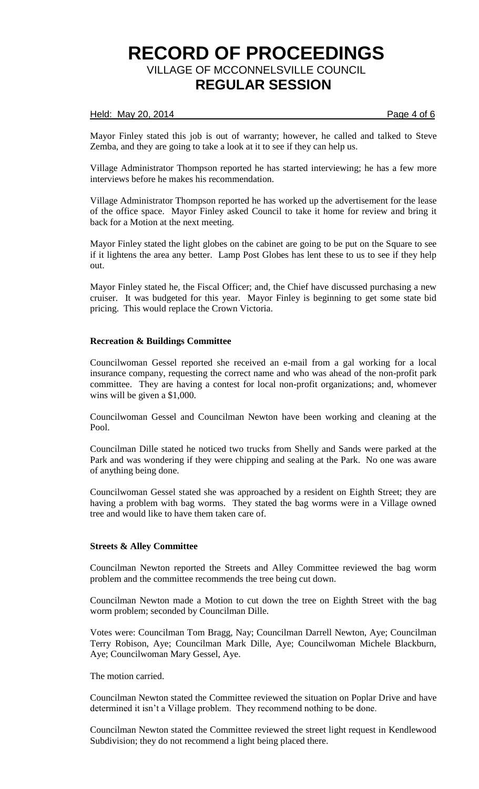## Held: May 20, 2014 **Page 4 of 6**

Mayor Finley stated this job is out of warranty; however, he called and talked to Steve Zemba, and they are going to take a look at it to see if they can help us.

Village Administrator Thompson reported he has started interviewing; he has a few more interviews before he makes his recommendation.

Village Administrator Thompson reported he has worked up the advertisement for the lease of the office space. Mayor Finley asked Council to take it home for review and bring it back for a Motion at the next meeting.

Mayor Finley stated the light globes on the cabinet are going to be put on the Square to see if it lightens the area any better. Lamp Post Globes has lent these to us to see if they help out.

Mayor Finley stated he, the Fiscal Officer; and, the Chief have discussed purchasing a new cruiser. It was budgeted for this year. Mayor Finley is beginning to get some state bid pricing. This would replace the Crown Victoria.

## **Recreation & Buildings Committee**

Councilwoman Gessel reported she received an e-mail from a gal working for a local insurance company, requesting the correct name and who was ahead of the non-profit park committee. They are having a contest for local non-profit organizations; and, whomever wins will be given a \$1,000.

Councilwoman Gessel and Councilman Newton have been working and cleaning at the Pool.

Councilman Dille stated he noticed two trucks from Shelly and Sands were parked at the Park and was wondering if they were chipping and sealing at the Park. No one was aware of anything being done.

Councilwoman Gessel stated she was approached by a resident on Eighth Street; they are having a problem with bag worms. They stated the bag worms were in a Village owned tree and would like to have them taken care of.

#### **Streets & Alley Committee**

Councilman Newton reported the Streets and Alley Committee reviewed the bag worm problem and the committee recommends the tree being cut down.

Councilman Newton made a Motion to cut down the tree on Eighth Street with the bag worm problem; seconded by Councilman Dille.

Votes were: Councilman Tom Bragg, Nay; Councilman Darrell Newton, Aye; Councilman Terry Robison, Aye; Councilman Mark Dille, Aye; Councilwoman Michele Blackburn, Aye; Councilwoman Mary Gessel, Aye.

The motion carried.

Councilman Newton stated the Committee reviewed the situation on Poplar Drive and have determined it isn't a Village problem. They recommend nothing to be done.

Councilman Newton stated the Committee reviewed the street light request in Kendlewood Subdivision; they do not recommend a light being placed there.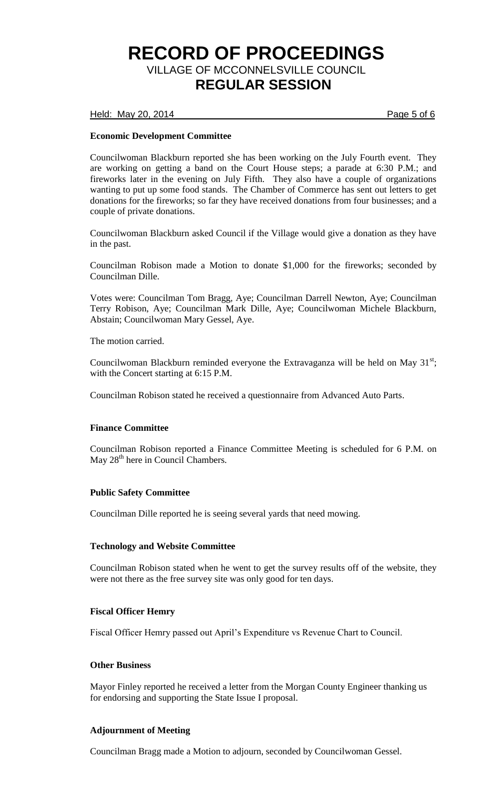Held: May 20, 2014 **Page 5 of 6** 

# **Economic Development Committee**

Councilwoman Blackburn reported she has been working on the July Fourth event. They are working on getting a band on the Court House steps; a parade at 6:30 P.M.; and fireworks later in the evening on July Fifth. They also have a couple of organizations wanting to put up some food stands. The Chamber of Commerce has sent out letters to get donations for the fireworks; so far they have received donations from four businesses; and a couple of private donations.

Councilwoman Blackburn asked Council if the Village would give a donation as they have in the past.

Councilman Robison made a Motion to donate \$1,000 for the fireworks; seconded by Councilman Dille.

Votes were: Councilman Tom Bragg, Aye; Councilman Darrell Newton, Aye; Councilman Terry Robison, Aye; Councilman Mark Dille, Aye; Councilwoman Michele Blackburn, Abstain; Councilwoman Mary Gessel, Aye.

The motion carried.

Councilwoman Blackburn reminded everyone the Extravaganza will be held on May  $31^{st}$ ; with the Concert starting at 6:15 P.M.

Councilman Robison stated he received a questionnaire from Advanced Auto Parts.

#### **Finance Committee**

Councilman Robison reported a Finance Committee Meeting is scheduled for 6 P.M. on May 28<sup>th</sup> here in Council Chambers.

#### **Public Safety Committee**

Councilman Dille reported he is seeing several yards that need mowing.

#### **Technology and Website Committee**

Councilman Robison stated when he went to get the survey results off of the website, they were not there as the free survey site was only good for ten days.

#### **Fiscal Officer Hemry**

Fiscal Officer Hemry passed out April's Expenditure vs Revenue Chart to Council.

### **Other Business**

Mayor Finley reported he received a letter from the Morgan County Engineer thanking us for endorsing and supporting the State Issue I proposal.

# **Adjournment of Meeting**

Councilman Bragg made a Motion to adjourn, seconded by Councilwoman Gessel.